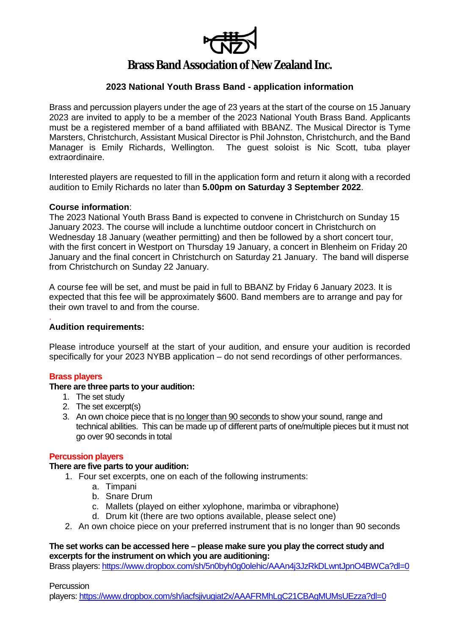

## **Brass Band Association of New Zealand Inc.**

## **2023 National Youth Brass Band - application information**

Brass and percussion players under the age of 23 years at the start of the course on 15 January 2023 are invited to apply to be a member of the 2023 National Youth Brass Band. Applicants must be a registered member of a band affiliated with BBANZ. The Musical Director is Tyme Marsters, Christchurch, Assistant Musical Director is Phil Johnston, Christchurch, and the Band Manager is Emily Richards, Wellington. The guest soloist is Nic Scott, tuba player extraordinaire.

Interested players are requested to fill in the application form and return it along with a recorded audition to Emily Richards no later than **5.00pm on Saturday 3 September 2022**.

#### **Course information**:

The 2023 National Youth Brass Band is expected to convene in Christchurch on Sunday 15 January 2023. The course will include a lunchtime outdoor concert in Christchurch on Wednesday 18 January (weather permitting) and then be followed by a short concert tour, with the first concert in Westport on Thursday 19 January, a concert in Blenheim on Friday 20 January and the final concert in Christchurch on Saturday 21 January. The band will disperse from Christchurch on Sunday 22 January.

A course fee will be set, and must be paid in full to BBANZ by Friday 6 January 2023. It is expected that this fee will be approximately \$600. Band members are to arrange and pay for their own travel to and from the course.

#### . **Audition requirements:**

Please introduce yourself at the start of your audition, and ensure your audition is recorded specifically for your 2023 NYBB application – do not send recordings of other performances.

#### **Brass players**

#### **There are three parts to your audition:**

- 1. The set study
- 2. The set excerpt(s)
- 3. An own choice piece that is no longer than 90 seconds to show your sound, range and technical abilities. This can be made up of different parts of one/multiple pieces but it must not go over 90 seconds in total

#### **Percussion players**

### **There are five parts to your audition:**

- 1. Four set excerpts, one on each of the following instruments:
	- a. Timpani
	- b. Snare Drum
	- c. Mallets (played on either xylophone, marimba or vibraphone)
	- d. Drum kit (there are two options available, please select one)
- 2. An own choice piece on your preferred instrument that is no longer than 90 seconds

#### **The set works can be accessed here – please make sure you play the correct study and excerpts for the instrument on which you are auditioning:**

Brass players: https://www.dropbox.com/sh/5n0byh0q0olehic/AAAn4i3JzRkDLwntJpnO4BWCa?dl=0

**Percussion** 

players:<https://www.dropbox.com/sh/iacfsjivugiat2x/AAAFRMhLgC21CBAgMUMsUEzza?dl=0>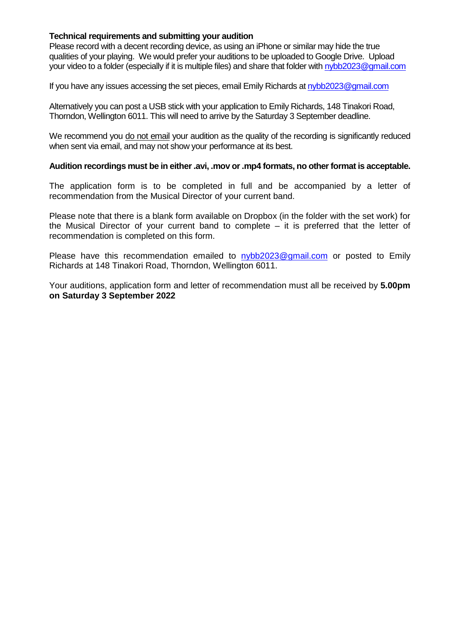## **Technical requirements and submitting your audition**

Please record with a decent recording device, as using an iPhone or similar may hide the true qualities of your playing. We would prefer your auditions to be uploaded to Google Drive. Upload your video to a folder (especially if it is multiple files) and share that folder wit[h nybb2023@gmail.com](mailto:nybb2023@gmail.com)

If you have any issues accessing the set pieces, email Emily Richards at [nybb2023@gmail.com](mailto:nybb2023@gmail.com)

Alternatively you can post a USB stick with your application to Emily Richards, 148 Tinakori Road, Thorndon, Wellington 6011. This will need to arrive by the Saturday 3 September deadline.

We recommend you do not email your audition as the quality of the recording is significantly reduced when sent via email, and may not show your performance at its best.

#### **Audition recordings must be in either.avi, .mov or .mp4 formats, no other format is acceptable.**

The application form is to be completed in full and be accompanied by a letter of recommendation from the Musical Director of your current band.

Please note that there is a blank form available on Dropbox (in the folder with the set work) for the Musical Director of your current band to complete – it is preferred that the letter of recommendation is completed on this form.

Please have this recommendation emailed to [nybb2023@gmail.com](mailto:nybb2023@gmail.com) or posted to Emily Richards at 148 Tinakori Road, Thorndon, Wellington 6011.

Your auditions, application form and letter of recommendation must all be received by **5.00pm on Saturday 3 September 2022**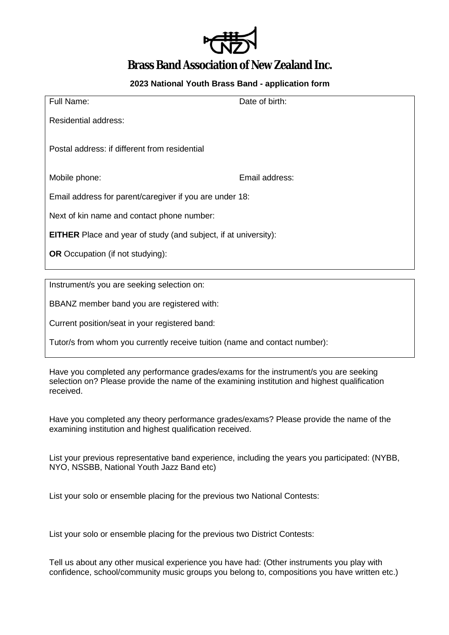

# **Brass Band Association of New Zealand Inc.**

**2023 National Youth Brass Band - application form**

| Full Name:                                                             | Date of birth: |
|------------------------------------------------------------------------|----------------|
| <b>Residential address:</b>                                            |                |
| Postal address: if different from residential                          |                |
| Mobile phone:                                                          | Email address: |
| Email address for parent/caregiver if you are under 18:                |                |
| Next of kin name and contact phone number:                             |                |
| <b>EITHER</b> Place and year of study (and subject, if at university): |                |
| <b>OR</b> Occupation (if not studying):                                |                |
|                                                                        |                |
| Instrument/s you are seeking selection on:                             |                |

BBANZ member band you are registered with:

Current position/seat in your registered band:

Tutor/s from whom you currently receive tuition (name and contact number):

Have you completed any performance grades/exams for the instrument/s you are seeking selection on? Please provide the name of the examining institution and highest qualification received.

Have you completed any theory performance grades/exams? Please provide the name of the examining institution and highest qualification received.

List your previous representative band experience, including the years you participated: (NYBB, NYO, NSSBB, National Youth Jazz Band etc)

List your solo or ensemble placing for the previous two National Contests:

List your solo or ensemble placing for the previous two District Contests:

Tell us about any other musical experience you have had: (Other instruments you play with confidence, school/community music groups you belong to, compositions you have written etc.)